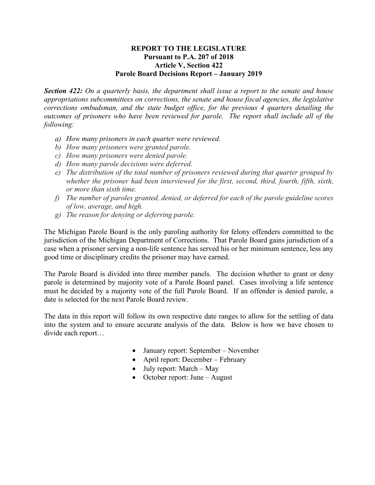## **REPORT TO THE LEGISLATURE Pursuant to P.A. 207 of 2018 Article V, Section 422 Parole Board Decisions Report – January 2019**

*Section 422: On a quarterly basis, the department shall issue a report to the senate and house appropriations subcommittees on corrections, the senate and house fiscal agencies, the legislative corrections ombudsman, and the state budget office, for the previous 4 quarters detailing the outcomes of prisoners who have been reviewed for parole. The report shall include all of the following:* 

- *a) How many prisoners in each quarter were reviewed.*
- *b) How many prisoners were granted parole.*
- *c) How many prisoners were denied parole.*
- *d) How many parole decisions were deferred.*
- *e) The distribution of the total number of prisoners reviewed during that quarter grouped by whether the prisoner had been interviewed for the first, second, third, fourth, fifth, sixth, or more than sixth time.*
- *f) The number of paroles granted, denied, or deferred for each of the parole guideline scores of low, average, and high.*
- *g) The reason for denying or deferring parole.*

The Michigan Parole Board is the only paroling authority for felony offenders committed to the jurisdiction of the Michigan Department of Corrections. That Parole Board gains jurisdiction of a case when a prisoner serving a non-life sentence has served his or her minimum sentence, less any good time or disciplinary credits the prisoner may have earned.

The Parole Board is divided into three member panels. The decision whether to grant or deny parole is determined by majority vote of a Parole Board panel. Cases involving a life sentence must be decided by a majority vote of the full Parole Board. If an offender is denied parole, a date is selected for the next Parole Board review.

The data in this report will follow its own respective date ranges to allow for the settling of data into the system and to ensure accurate analysis of the data. Below is how we have chosen to divide each report…

- January report: September November
- April report: December February
- July report: March May
- October report: June August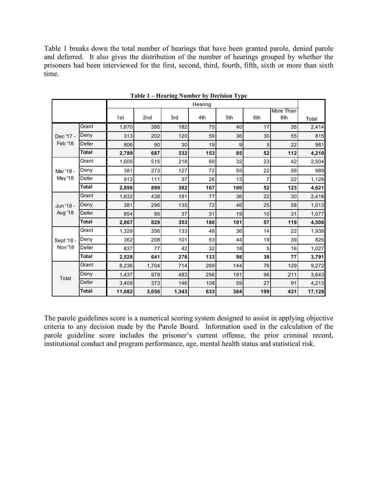Table 1 breaks down the total number of hearings that have been granted parole, denied parole and deferred. It also gives the distribution of the number of hearings grouped by whether the prisoners had been interviewed for the first, second, third, fourth, fifth, sixth or more than sixth time.

|                              |              |        |         |       | Table I – Hearing Number by Decision Type |     |     |           |        |
|------------------------------|--------------|--------|---------|-------|-------------------------------------------|-----|-----|-----------|--------|
|                              |              |        | Hearing |       |                                           |     |     |           |        |
|                              |              |        |         |       |                                           |     |     | More Than |        |
|                              |              | 1st    | 2nd     | 3rd   | 4th                                       | 5th | 6th | 6th       | Total  |
|                              | Grant        | 1,670  | 395     | 182   | 75                                        | 40  | 17  | 35        | 2,414  |
| Dec '17 -                    | Deny         | 313    | 202     | 120   | 59                                        | 36  | 30  | 55        | 815    |
| Feb '18                      | Defer        | 806    | 90      | 30    | 19                                        | 9   | 5   | 22        | 981    |
|                              | <b>Total</b> | 2,789  | 687     | 332   | 153                                       | 85  | 52  | 112       | 4,210  |
|                              | Grant        | 1,605  | 515     | 218   | 69                                        | 32  | 23  | 42        | 2,504  |
| Mar '18 -                    | Deny         | 381    | 273     | 127   | 72                                        | 55  | 22  | 59        | 989    |
| May '18                      | Defer        | 912    | 111     | 37    | 26                                        | 13  | 7   | 22        | 1,128  |
|                              | <b>Total</b> | 2,898  | 899     | 382   | 167                                       | 100 | 52  | 123       | 4,621  |
|                              | Grant        | 1,632  | 438     | 181   | 77                                        | 36  | 22  | 30        | 2,416  |
| Jun '18 -                    | Deny         | 381    | 296     | 135   | 72                                        | 46  | 25  | 58        | 1,013  |
| <b>Aug '18</b>               | Defer        | 854    | 95      | 37    | 31                                        | 19  | 10  | 31        | 1,077  |
|                              | <b>Total</b> | 2,867  | 829     | 353   | 180                                       | 101 | 57  | 119       | 4,506  |
| Sept '18 -<br><b>Nov</b> '18 | Grant        | 1,329  | 356     | 133   | 48                                        | 36  | 14  | 22        | 1,938  |
|                              | Deny         | 362    | 208     | 101   | 53                                        | 44  | 19  | 39        | 826    |
|                              | Defer        | 837    | 77      | 42    | 32                                        | 18  | 5   | 16        | 1,027  |
|                              | <b>Total</b> | 2,528  | 641     | 276   | 133                                       | 98  | 38  | 77        | 3,791  |
| Total                        | Grant        | 6,236  | 1,704   | 714   | 269                                       | 144 | 76  | 129       | 9,272  |
|                              | Deny         | 1,437  | 979     | 483   | 256                                       | 181 | 96  | 211       | 3,643  |
|                              | Defer        | 3,409  | 373     | 146   | 108                                       | 59  | 27  | 91        | 4,213  |
|                              | <b>Total</b> | 11,082 | 3,056   | 1,343 | 633                                       | 384 | 199 | 431       | 17,128 |

**Table 1 – Hearing Number by Decision Type**

The parole guidelines score is a numerical scoring system designed to assist in applying objective criteria to any decision made by the Parole Board. Information used in the calculation of the parole guideline score includes the prisoner's current offense, the prior criminal record, institutional conduct and program performance, age, mental health status and statistical risk.